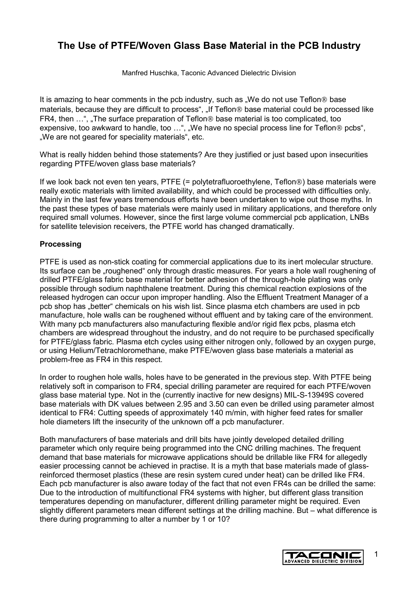# **The Use of PTFE/Woven Glass Base Material in the PCB Industry**

Manfred Huschka, Taconic Advanced Dielectric Division

It is amazing to hear comments in the pcb industry, such as "We do not use Teflon<sup>®</sup> base materials, because they are difficult to process", "If Teflon® base material could be processed like FR4, then ...", "The surface preparation of Teflon<sup>®</sup> base material is too complicated, too expensive, too awkward to handle, too ...", "We have no special process line for Teflon® pcbs", "We are not geared for speciality materials", etc.

What is really hidden behind those statements? Are they justified or just based upon insecurities regarding PTFE/woven glass base materials?

If we look back not even ten years, PTFE  $(=$  polytetrafluoroethylene, Teflon<sup>®</sup>) base materials were really exotic materials with limited availability, and which could be processed with difficulties only. Mainly in the last few years tremendous efforts have been undertaken to wipe out those myths. In the past these types of base materials were mainly used in military applications, and therefore only required small volumes. However, since the first large volume commercial pcb application, LNBs for satellite television receivers, the PTFE world has changed dramatically.

## **Processing**

PTFE is used as non-stick coating for commercial applications due to its inert molecular structure. Its surface can be "roughened" only through drastic measures. For years a hole wall roughening of drilled PTFE/glass fabric base material for better adhesion of the through-hole plating was only possible through sodium naphthalene treatment. During this chemical reaction explosions of the released hydrogen can occur upon improper handling. Also the Effluent Treatment Manager of a pcb shop has "better" chemicals on his wish list. Since plasma etch chambers are used in pcb manufacture, hole walls can be roughened without effluent and by taking care of the environment. With many pcb manufacturers also manufacturing flexible and/or rigid flex pcbs, plasma etch chambers are widespread throughout the industry, and do not require to be purchased specifically for PTFE/glass fabric. Plasma etch cycles using either nitrogen only, followed by an oxygen purge, or using Helium/Tetrachloromethane, make PTFE/woven glass base materials a material as problem-free as FR4 in this respect.

In order to roughen hole walls, holes have to be generated in the previous step. With PTFE being relatively soft in comparison to FR4, special drilling parameter are required for each PTFE/woven glass base material type. Not in the (currently inactive for new designs) MIL-S-13949S covered base materials with DK values between 2.95 and 3.50 can even be drilled using parameter almost identical to FR4: Cutting speeds of approximately 140 m/min, with higher feed rates for smaller hole diameters lift the insecurity of the unknown off a pcb manufacturer.

Both manufacturers of base materials and drill bits have jointly developed detailed drilling parameter which only require being programmed into the CNC drilling machines. The frequent demand that base materials for microwave applications should be drillable like FR4 for allegedly easier processing cannot be achieved in practise. It is a myth that base materials made of glassreinforced thermoset plastics (these are resin system cured under heat) can be drilled like FR4. Each pcb manufacturer is also aware today of the fact that not even FR4s can be drilled the same: Due to the introduction of multifunctional FR4 systems with higher, but different glass transition temperatures depending on manufacturer, different drilling parameter might be required. Even slightly different parameters mean different settings at the drilling machine. But – what difference is there during programming to alter a number by 1 or 10?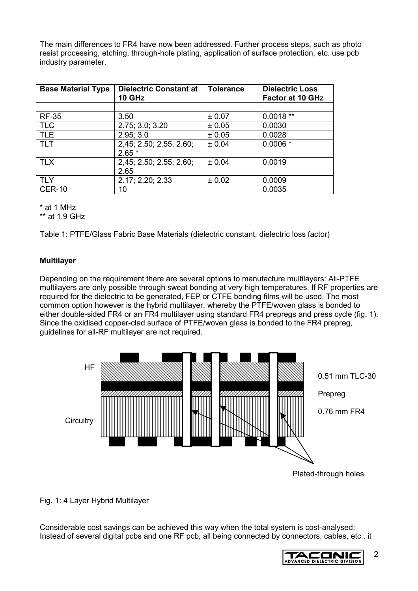The main differences to FR4 have now been addressed. Further process steps, such as photo resist processing, etching, through-hole plating, application of surface protection, etc. use pcb industry parameter.

| <b>Base Material Type</b> | <b>Dielectric Constant at</b><br><b>10 GHz</b> | <b>Tolerance</b> | <b>Dielectric Loss</b><br><b>Factor at 10 GHz</b> |
|---------------------------|------------------------------------------------|------------------|---------------------------------------------------|
|                           |                                                |                  |                                                   |
| <b>RF-35</b>              | 3.50                                           | ± 0.07           | $0.0018**$                                        |
| <b>TLC</b>                | 2.75; 3.0; 3.20                                | ± 0.05           | 0.0030                                            |
| <b>TLE</b>                | 2.95; 3.0                                      | ± 0.05           | 0.0028                                            |
| <b>TLT</b>                | 2,45; 2.50; 2.55; 2.60;                        | ± 0.04           | $0.0006*$                                         |
|                           | $2.65*$                                        |                  |                                                   |
| <b>TLX</b>                | 2,45; 2.50; 2.55; 2.60;                        | ± 0.04           | 0.0019                                            |
|                           | 2.65                                           |                  |                                                   |
| TLY                       | 2.17; 2.20; 2.33                               | ± 0.02           | 0.0009                                            |
| <b>CER-10</b>             | 10                                             |                  | 0.0035                                            |

\* at 1 MHz

\*\* at 1.9 GHz

Table 1: PTFE/Glass Fabric Base Materials (dielectric constant, dielectric loss factor)

# **Multilayer**

Depending on the requirement there are several options to manufacture multilayers: All-PTFE multilayers are only possible through sweat bonding at very high temperatures. If RF properties are required for the dielectric to be generated, FEP or CTFE bonding films will be used. The most common option however is the hybrid multilayer, whereby the PTFE/woven glass is bonded to either double-sided FR4 or an FR4 multilayer using standard FR4 prepregs and press cycle (fig. 1). Since the oxidised copper-clad surface of PTFE/woven glass is bonded to the FR4 prepreg, guidelines for all-RF multilayer are not required.



Fig. 1: 4 Layer Hybrid Multilayer

Considerable cost savings can be achieved this way when the total system is cost-analysed: Instead of several digital pcbs and one RF pcb, all being connected by connectors, cables, etc., it

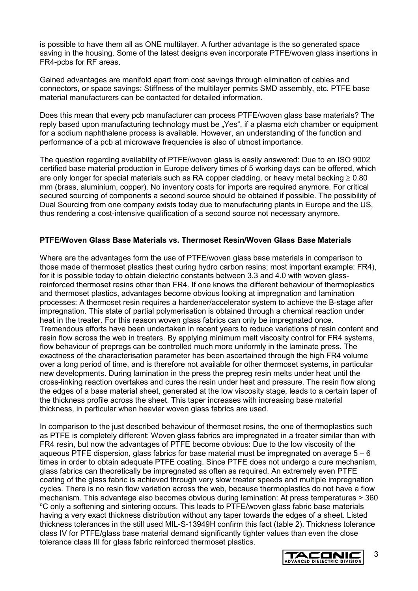is possible to have them all as ONE multilayer. A further advantage is the so generated space saving in the housing. Some of the latest designs even incorporate PTFE/woven glass insertions in FR4-pcbs for RF areas.

Gained advantages are manifold apart from cost savings through elimination of cables and connectors, or space savings: Stiffness of the multilayer permits SMD assembly, etc. PTFE base material manufacturers can be contacted for detailed information.

Does this mean that every pcb manufacturer can process PTFE/woven glass base materials? The reply based upon manufacturing technology must be "Yes", if a plasma etch chamber or equipment for a sodium naphthalene process is available. However, an understanding of the function and performance of a pcb at microwave frequencies is also of utmost importance.

The question regarding availability of PTFE/woven glass is easily answered: Due to an ISO 9002 certified base material production in Europe delivery times of 5 working days can be offered, which are only longer for special materials such as RA copper cladding, or heavy metal backing  $\geq 0.80$ mm (brass, aluminium, copper). No inventory costs for imports are required anymore. For critical secured sourcing of components a second source should be obtained if possible. The possibility of Dual Sourcing from one company exists today due to manufacturing plants in Europe and the US, thus rendering a cost-intensive qualification of a second source not necessary anymore.

### **PTFE/Woven Glass Base Materials vs. Thermoset Resin/Woven Glass Base Materials**

Where are the advantages form the use of PTFE/woven glass base materials in comparison to those made of thermoset plastics (heat curing hydro carbon resins; most important example: FR4), for it is possible today to obtain dielectric constants between 3.3 and 4.0 with woven glassreinforced thermoset resins other than FR4. If one knows the different behaviour of thermoplastics and thermoset plastics, advantages become obvious looking at impregnation and lamination processes: A thermoset resin requires a hardener/accelerator system to achieve the B-stage after impregnation. This state of partial polymerisation is obtained through a chemical reaction under heat in the treater. For this reason woven glass fabrics can only be impregnated once. Tremendous efforts have been undertaken in recent years to reduce variations of resin content and resin flow across the web in treaters. By applying minimum melt viscosity control for FR4 systems, flow behaviour of prepregs can be controlled much more uniformly in the laminate press. The exactness of the characterisation parameter has been ascertained through the high FR4 volume over a long period of time, and is therefore not available for other thermoset systems, in particular new developments. During lamination in the press the prepreg resin melts under heat until the cross-linking reaction overtakes and cures the resin under heat and pressure. The resin flow along the edges of a base material sheet, generated at the low viscosity stage, leads to a certain taper of the thickness profile across the sheet. This taper increases with increasing base material thickness, in particular when heavier woven glass fabrics are used.

In comparison to the just described behaviour of thermoset resins, the one of thermoplastics such as PTFE is completely different: Woven glass fabrics are impregnated in a treater similar than with FR4 resin, but now the advantages of PTFE become obvious: Due to the low viscosity of the aqueous PTFE dispersion, glass fabrics for base material must be impregnated on average  $5 - 6$ times in order to obtain adequate PTFE coating. Since PTFE does not undergo a cure mechanism, glass fabrics can theoretically be impregnated as often as required. An extremely even PTFE coating of the glass fabric is achieved through very slow treater speeds and multiple impregnation cycles. There is no resin flow variation across the web, because thermoplastics do not have a flow mechanism. This advantage also becomes obvious during lamination: At press temperatures > 360 ºC only a softening and sintering occurs. This leads to PTFE/woven glass fabric base materials having a very exact thickness distribution without any taper towards the edges of a sheet. Listed thickness tolerances in the still used MIL-S-13949H confirm this fact (table 2). Thickness tolerance class IV for PTFE/glass base material demand significantly tighter values than even the close tolerance class III for glass fabric reinforced thermoset plastics.

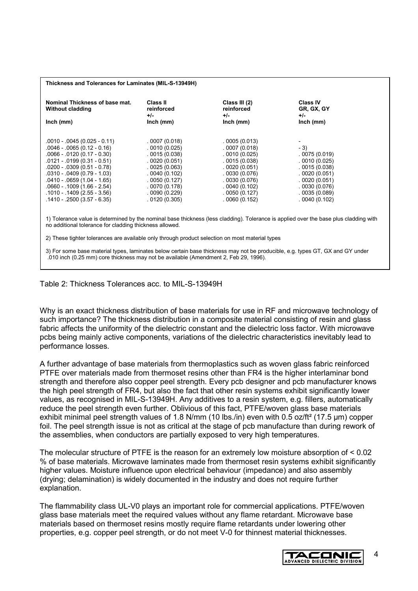#### **Thickness and Tolerances for Laminates (MIL-S-13949H)**

| Nominal Thickness of base mat.<br><b>Without cladding</b><br>$lnch$ (mm)                                                                                                                                                                                                                                                      | Class II<br>reinforced<br>$+/-$<br>Inch (mm)                                                                                                                 | Class III (2)<br>reinforced<br>$+/-$<br>$lnch$ (mm)                                                                                                          | <b>Class IV</b><br>GR, GX, GY<br>+/-<br>$lnch$ (mm)                                                                                   |
|-------------------------------------------------------------------------------------------------------------------------------------------------------------------------------------------------------------------------------------------------------------------------------------------------------------------------------|--------------------------------------------------------------------------------------------------------------------------------------------------------------|--------------------------------------------------------------------------------------------------------------------------------------------------------------|---------------------------------------------------------------------------------------------------------------------------------------|
| $.0010 - .0045(0.025 - 0.11)$<br>$.0046 - .0065(0.12 - 0.16)$<br>$.0066 - .0120(0.17 - 0.30)$<br>$.0121 - .0199(0.31 - 0.51)$<br>$.0200 - .0309(0.51 - 0.78)$<br>$.0310 - .0409(0.79 - 1.03)$<br>$.0410 - .0659(1.04 - 1.65)$<br>$.0660 - .1009(1.66 - 2.54)$<br>$.1010 - .1409(2.55 - 3.56)$<br>$.1410 - .2500(3.57 - 6.35)$ | .0007(0.018)<br>.0010(0.025)<br>.0015(0.038)<br>.0020(0.051)<br>.0025(0.063)<br>.0040(0.102)<br>.0050(0.127)<br>.0070(0.178)<br>.0090(0.229)<br>.0120(0.305) | .0005(0.013)<br>.0007(0.018)<br>.0010(0.025)<br>.0015(0.038)<br>.0020(0.051)<br>.0030(0.076)<br>.0030(0.076)<br>.0040(0.102)<br>.0050(0.127)<br>.0060(0.152) | $-3)$<br>.0075(0.019)<br>.0010(0.025)<br>.0015(0.038)<br>.0020(0.051)<br>.0020(0.051)<br>.0030(0.076)<br>.0035(0.089)<br>.0040(0.102) |

1) Tolerance value is determined by the nominal base thickness (less cladding). Tolerance is applied over the base plus cladding with no additional tolerance for cladding thickness allowed.

2) These tighter tolerances are available only through product selection on most material types

3) For some base material types, laminates below certain base thickness may not be producible, e.g. types GT, GX and GY under .010 inch (0.25 mm) core thickness may not be available (Amendment 2, Feb 29, 1996).

#### Table 2: Thickness Tolerances acc. to MIL-S-13949H

Why is an exact thickness distribution of base materials for use in RF and microwave technology of such importance? The thickness distribution in a composite material consisting of resin and glass fabric affects the uniformity of the dielectric constant and the dielectric loss factor. With microwave pcbs being mainly active components, variations of the dielectric characteristics inevitably lead to performance losses.

A further advantage of base materials from thermoplastics such as woven glass fabric reinforced PTFE over materials made from thermoset resins other than FR4 is the higher interlaminar bond strength and therefore also copper peel strength. Every pcb designer and pcb manufacturer knows the high peel strength of FR4, but also the fact that other resin systems exhibit significantly lower values, as recognised in MIL-S-13949H. Any additives to a resin system, e.g. fillers, automatically reduce the peel strength even further. Oblivious of this fact, PTFE/woven glass base materials exhibit minimal peel strength values of 1.8 N/mm (10 lbs./in) even with 0.5 oz/ft<sup>2</sup> (17.5 µm) copper foil. The peel strength issue is not as critical at the stage of pcb manufacture than during rework of the assemblies, when conductors are partially exposed to very high temperatures.

The molecular structure of PTFE is the reason for an extremely low moisture absorption of < 0.02 % of base materials. Microwave laminates made from thermoset resin systems exhibit significantly higher values. Moisture influence upon electrical behaviour (impedance) and also assembly (drying; delamination) is widely documented in the industry and does not require further explanation.

The flammability class UL-V0 plays an important role for commercial applications. PTFE/woven glass base materials meet the required values without any flame retardant. Microwave base materials based on thermoset resins mostly require flame retardants under lowering other properties, e.g. copper peel strength, or do not meet V-0 for thinnest material thicknesses.